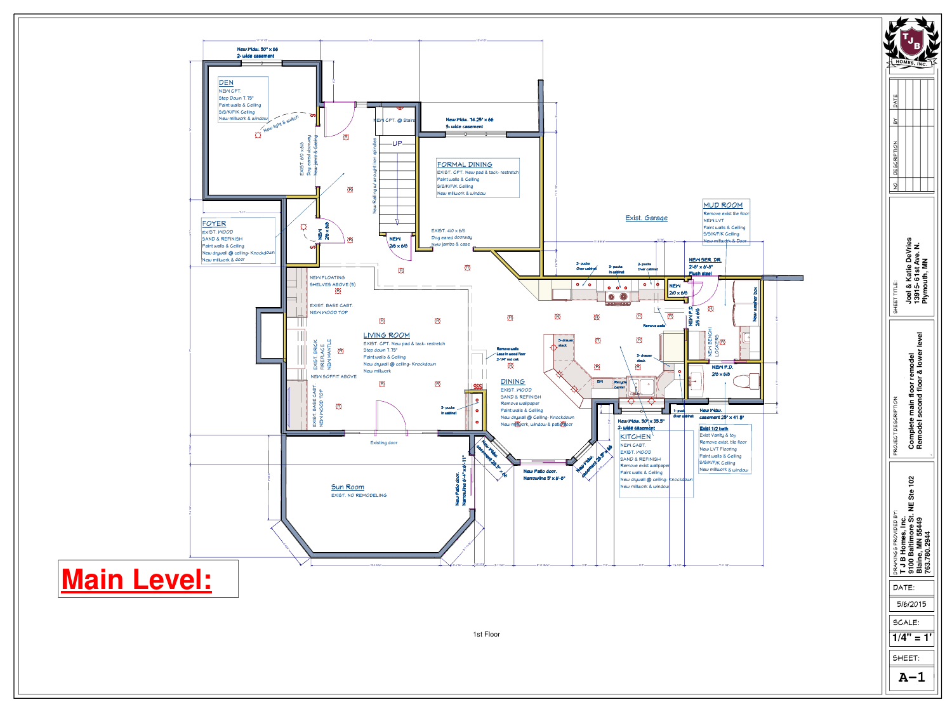

 $A-1$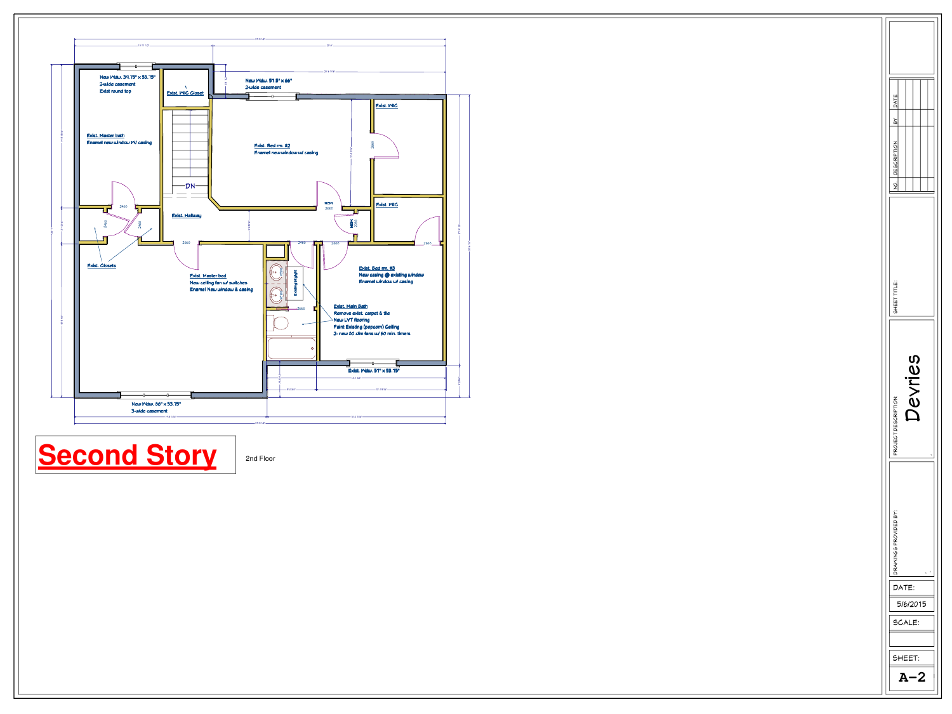

**Second Story** 

2nd Floor

| <b>DATE</b><br>ΡX<br><b>DESCRIPTION</b><br>SHEET TITLE:<br>sally |   |
|------------------------------------------------------------------|---|
|                                                                  |   |
| PROJECT DESCRIPTION:                                             |   |
| DRANINGS PROVIDED BY:                                            | ı |
| DATE:<br>5/6/2015<br>SCALE:                                      |   |
| SHEET:                                                           |   |